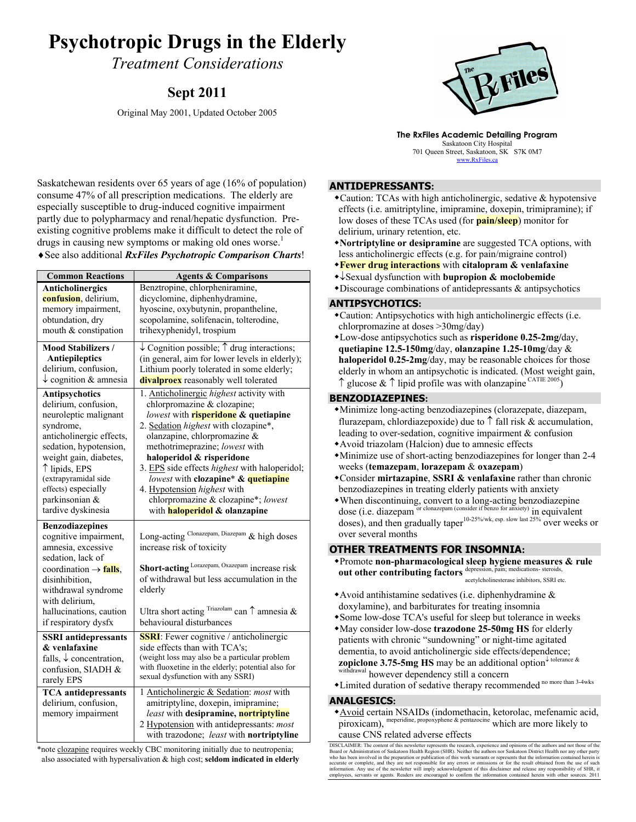# **Psychotropic Drugs in the Elderly**

*Treatment Considerations* 

# **Sept 2011**

Original May 2001, Updated October 2005



**The RxFiles Academic Detailing Program**  Saskatoon City Hospital 701 Queen Street, Saskatoon, SK S7K 0M7 www.RxFiles.ca

Saskatchewan residents over 65 years of age (16% of population) consume 47% of all prescription medications. The elderly are especially susceptible to drug-induced cognitive impairment partly due to polypharmacy and renal/hepatic dysfunction. Preexisting cognitive problems make it difficult to detect the role of drugs in causing new symptoms or making old ones worse.<sup>1</sup> ♦See also additional *RxFiles Psychotropic Comparison Charts*!

| <b>Common Reactions</b>                                                                                                                                                                                                                                              | <b>Agents &amp; Comparisons</b>                                                                                                                                                                                                                                                                                                                                                                                                                                            |  |  |  |  |
|----------------------------------------------------------------------------------------------------------------------------------------------------------------------------------------------------------------------------------------------------------------------|----------------------------------------------------------------------------------------------------------------------------------------------------------------------------------------------------------------------------------------------------------------------------------------------------------------------------------------------------------------------------------------------------------------------------------------------------------------------------|--|--|--|--|
| Anticholinergics<br>confusion, delirium,<br>memory impairment,<br>obtundation, dry<br>mouth & constipation                                                                                                                                                           | Benztropine, chlorpheniramine,<br>dicyclomine, diphenhydramine,<br>hyoscine, oxybutynin, propantheline,<br>scopolamine, solifenacin, tolterodine,<br>trihexyphenidyl, trospium                                                                                                                                                                                                                                                                                             |  |  |  |  |
| <b>Mood Stabilizers /</b><br><b>Antiepileptics</b><br>delirium, confusion,<br>$\downarrow$ cognition & amnesia                                                                                                                                                       | $\downarrow$ Cognition possible; $\uparrow$ drug interactions;<br>(in general, aim for lower levels in elderly);<br>Lithium poorly tolerated in some elderly;<br><b>divalproex</b> reasonably well tolerated                                                                                                                                                                                                                                                               |  |  |  |  |
| Antipsychotics<br>delirium, confusion,<br>neuroleptic malignant<br>syndrome,<br>anticholinergic effects,<br>sedation, hypotension,<br>weight gain, diabetes,<br>↑ lipids, EPS<br>(extrapyramidal side<br>effects) especially<br>parkinsonian &<br>tardive dyskinesia | 1. Anticholinergic highest activity with<br>chlorpromazine & clozapine;<br>lowest with <b>risperidone</b> & quetiapine<br>2. Sedation highest with clozapine*,<br>olanzapine, chlorpromazine &<br>methotrimeprazine; lowest with<br>haloperidol & risperidone<br>3. EPS side effects <i>highest</i> with haloperidol;<br>lowest with clozapine* & quetiapine<br>4. Hypotension highest with<br>chlorpromazine & clozapine*; lowest<br>with <b>haloperidol</b> & olanzapine |  |  |  |  |
| <b>Benzodiazepines</b><br>cognitive impairment,<br>amnesia, excessive<br>sedation, lack of<br>coordination $\rightarrow$ falls.<br>disinhibition,<br>withdrawal syndrome                                                                                             | Long-acting Clonazepam, Diazepam & high doses<br>increase risk of toxicity<br>Short-acting Lorazepam, Oxazepam increase risk<br>of withdrawal but less accumulation in the<br>elderly                                                                                                                                                                                                                                                                                      |  |  |  |  |
| with delirium,<br>hallucinations, caution<br>if respiratory dysfx                                                                                                                                                                                                    | Ultra short acting $^{Triazolan}$ can $\uparrow$ amnesia &<br>behavioural disturbances                                                                                                                                                                                                                                                                                                                                                                                     |  |  |  |  |
| <b>SSRI</b> antidepressants<br>& venlafaxine<br>falls, $\downarrow$ concentration,<br>confusion, SIADH &<br>rarely EPS                                                                                                                                               | <b>SSRI</b> : Fewer cognitive / anticholinergic<br>side effects than with TCA's;<br>(weight loss may also be a particular problem<br>with fluoxetine in the elderly; potential also for<br>sexual dysfunction with any SSRI)                                                                                                                                                                                                                                               |  |  |  |  |
| <b>TCA</b> antidepressants<br>delirium, confusion,<br>memory impairment                                                                                                                                                                                              | 1 Anticholinergic & Sedation: most with<br>amitriptyline, doxepin, imipramine;<br><i>least</i> with desipramine, nortriptyline<br>2 Hypotension with antidepressants: most<br>with trazodone; least with nortriptyline                                                                                                                                                                                                                                                     |  |  |  |  |

\*note clozapine requires weekly CBC monitoring initially due to neutropenia; also associated with hypersalivation & high cost; **seldom indicated in elderly**

### **ANTIDEPRESSANTS:**

- Caution: TCAs with high anticholinergic, sedative & hypotensive effects (i.e. amitriptyline, imipramine, doxepin, trimipramine); if low doses of these TCAs used (for **pain/sleep**) monitor for delirium, urinary retention, etc.
- **Nortriptyline or desipramine** are suggested TCA options, with less anticholinergic effects (e.g. for pain/migraine control)
- **Fewer drug interactions** with **citalopram & venlafaxine**
- ↓Sexual dysfunction with **bupropion & moclobemide**
- $\bullet$ Discourage combinations of antidepressants  $\&$  antipsychotics

### **ANTIPSYCHOTICS:**

- Caution: Antipsychotics with high anticholinergic effects (i.e. chlorpromazine at doses >30mg/day)
- Low-dose antipsychotics such as **risperidone 0.25-2mg/**day, **quetiapine 12.5-150mg**/day, **olanzapine 1.25-10mg**/day & **haloperidol 0.25-2mg**/day, may be reasonable choices for those elderly in whom an antipsychotic is indicated. (Most weight gain,  $\uparrow$  glucose &  $\uparrow$  lipid profile was with olanzapine CATIE 2005)

## **BENZODIAZEPINES:**

- Minimize long-acting benzodiazepines (clorazepate, diazepam, flurazepam, chlordiazepoxide) due to  $\uparrow$  fall risk & accumulation, leading to over-sedation, cognitive impairment & confusion
- Avoid triazolam (Halcion) due to amnesic effects
- Minimize use of short-acting benzodiazepines for longer than 2-4 weeks (**temazepam**, **lorazepam** & **oxazepam**)
- Consider **mirtazapine**, **SSRI & venlafaxine** rather than chronic benzodiazepines in treating elderly patients with anxiety
- When discontinuing, convert to a long-acting benzodiazepine dose (i.e. diazepam or clonazepam (consider if benzo for anxiety) in equivalent doses), and then gradually taper<sup>10-25%/wk, esp. slow last 25%</sup> over weeks or over several months

# **OTHER TREATMENTS FOR INSOMNIA:**

- Promote **non-pharmacological sleep hygiene measures & rule out other contributing factors** depression, pain; medications- steroids acetylcholinesterase inhibitors, SSRI etc.
- Avoid antihistamine sedatives (i.e. diphenhydramine & doxylamine), and barbiturates for treating insomnia
- Some low-dose TCA's useful for sleep but tolerance in weeks
- May consider low-dose **trazodone 25-50mg HS** for elderly patients with chronic "sundowning" or night-time agitated dementia, to avoid anticholinergic side effects/dependence; **zopiclone 3.75-5mg HS** may be an additional option<sup>↓</sup> tolerance & <sup>al</sup> however dependency still a concern
- \*Limited duration of sedative therapy recommended<sup>no more than 3-4wks</sup>

### **ANALGESICS:**

Avoid certain NSAIDs (indomethacin, ketorolac, mefenamic acid, piroxicam), meperidine, propoxyphene & pentazocine which are more likely to cause CNS related adverse effects

DISCLAIMER: The content of this newsletter represents the research, experience and opinions of the authors and not those of the Board or Administration of Saskatoon Health Region (SHR). Neither the authors nor Saskatoon District Health nor any other party<br>who has been involved in the preparation or publication of this work warrants or represents th accurate or complete, and they are not responsible for any errors or omissions or for the result obtained from the use of such<br>information. Any use of the newsletter will imply acknowledgment of this disclaimer and release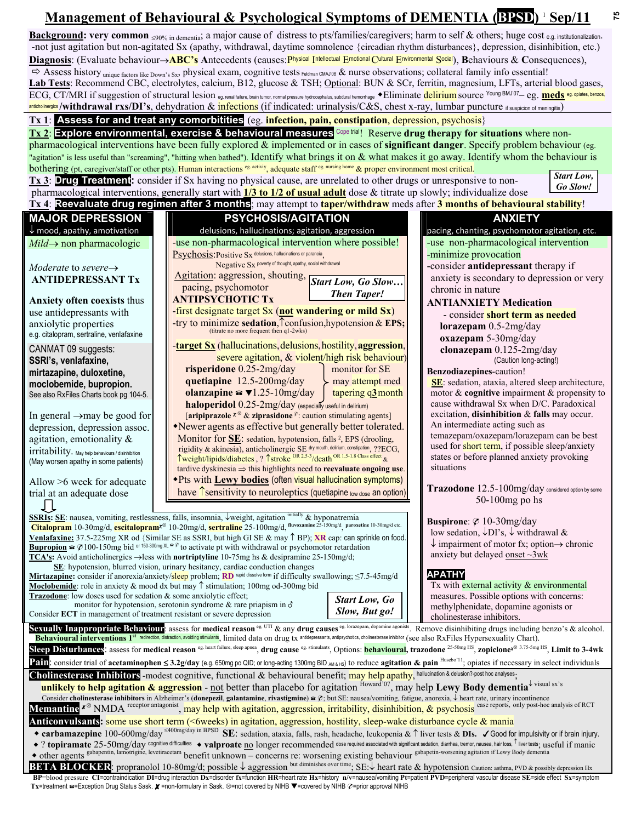# **Management of Behavioural & Psychological Symptoms of DEMENTIA (BPSD) <sup>1</sup> Sep/11**

Background: very common ≤90% in dementia; a major cause of distress to pts/families/caregivers; harm to self & others; huge cost e.g. institutionalization. -not just agitation but non-agitated Sx (apathy, withdrawal, daytime somnolence {circadian rhythm disturbances}, depression, disinhibition, etc.) **Diagnosis**: (Evaluate behaviour→**ABC's A**ntecedents (causes:Physical Intellectual Emotional Cultural Environmental Social), **B**ehaviours & **C**onsequences),  $\Rightarrow$  Assess history unique factors like Down's Sx, physical exam, cognitive tests Feldman CMAJ'08 & nurse observations; collateral family info essential! **Lab Tests**: Recommend CBC, electrolytes, calcium, B12, glucose & TSH; Optional: BUN & SCr, ferritin, magnesium, LFTs, arterial blood gases, ECG, CT/MRI if suggestion of structural lesion <sub>eg. renal failure, brain tumor, normal pressure hydrocephalus, subdural hemorrhage • Eliminate delirium source Young BMJ'07— eg. meds eg. opiates, benzos,</sub> anticholinergics /withdrawal rxs/DI's, dehydration & infections (if indicated: urinalysis/C&S, chest x-ray, lumbar puncture if suspicion of meningitis)

# **Tx 1**: **Assess for and treat any comorbitities** (eg. **infection, pain, constipation**, depression, psychosis}

**Tx 2**: **Explore environmental, exercise & behavioural measures** Cope trial! Reserve drug therapy for situations where nonpharmacological interventions have been fully explored & implemented or in cases of **significant danger**. Specify problem behaviour (eg. "agitation" is less useful than "screaming", "hitting when bathed"). Identify what brings it on & what makes it go away. Identify whom the behaviour is bothering (pt, caregiver/staff or other pts). Human interactions <sup>eg. activiy</sup>, adequate staff eg. nursing home & proper environment most critical.

|  | Start Low                    |
|--|------------------------------|
|  | $\mathcal{C}_{\alpha}$ Class |

**75** 

| "agitation" is less useful than "screaming", "hitting when bathed"). Identify what brings it on $\&$ what makes it go away. Identify whom the behaviour is                                                                                                                                                                                                                                                         |  |                                                                                                                                                                               |                                                  |  |                                                                            |  |  |  |  |
|--------------------------------------------------------------------------------------------------------------------------------------------------------------------------------------------------------------------------------------------------------------------------------------------------------------------------------------------------------------------------------------------------------------------|--|-------------------------------------------------------------------------------------------------------------------------------------------------------------------------------|--------------------------------------------------|--|----------------------------------------------------------------------------|--|--|--|--|
| bothering (pt, caregiver/staff or other pts). Human interactions eg activity, adequate staff eg nursing home & proper environment most critical.                                                                                                                                                                                                                                                                   |  |                                                                                                                                                                               |                                                  |  |                                                                            |  |  |  |  |
|                                                                                                                                                                                                                                                                                                                                                                                                                    |  | Tx 3: Drug Treatment: consider if Sx having no physical cause, are unrelated to other drugs or unresponsive to non-                                                           |                                                  |  | <b>Start Low,</b>                                                          |  |  |  |  |
|                                                                                                                                                                                                                                                                                                                                                                                                                    |  | pharmacological interventions, generally start with $\frac{1}{3}$ to $\frac{1}{2}$ of usual adult dose & titrate up slowly; individualize dose                                |                                                  |  | <b>Go Slow!</b>                                                            |  |  |  |  |
| Tx 4: Reevaluate drug regimen after 3 months; may attempt to <mark>taper/withdraw</mark> meds after 3 months of behavioural stability!                                                                                                                                                                                                                                                                             |  |                                                                                                                                                                               |                                                  |  |                                                                            |  |  |  |  |
| <b>MAJOR DEPRESSION</b>                                                                                                                                                                                                                                                                                                                                                                                            |  | <b>PSYCHOSIS/AGITATION</b>                                                                                                                                                    |                                                  |  | <b>ANXIETY</b>                                                             |  |  |  |  |
| $\downarrow$ mood, apathy, amotivation                                                                                                                                                                                                                                                                                                                                                                             |  | delusions, hallucinations; agitation, aggression                                                                                                                              |                                                  |  | pacing, chanting, psychomotor agitation, etc.                              |  |  |  |  |
| $Mid \rightarrow$ non pharmacologic                                                                                                                                                                                                                                                                                                                                                                                |  | -use non-pharmacological intervention where possible!                                                                                                                         |                                                  |  | -use non-pharmacological intervention                                      |  |  |  |  |
|                                                                                                                                                                                                                                                                                                                                                                                                                    |  | Psychosis: Positive Sx delusions, hallucinations or paranoia                                                                                                                  |                                                  |  | -minimize provocation                                                      |  |  |  |  |
| Moderate to severe $\rightarrow$                                                                                                                                                                                                                                                                                                                                                                                   |  | Negative Sx poverty of thought, apathy, social withdrawal                                                                                                                     |                                                  |  | -consider antidepressant therapy if                                        |  |  |  |  |
| <b>ANTIDEPRESSANT Tx</b>                                                                                                                                                                                                                                                                                                                                                                                           |  | Agitation: aggression, shouting, Start Low, Go Slow                                                                                                                           |                                                  |  | anxiety is secondary to depression or very                                 |  |  |  |  |
|                                                                                                                                                                                                                                                                                                                                                                                                                    |  | pacing, psychomotor                                                                                                                                                           | <b>Then Taper!</b>                               |  | chronic in nature                                                          |  |  |  |  |
| <b>Anxiety often coexists thus</b>                                                                                                                                                                                                                                                                                                                                                                                 |  | <b>ANTIPSYCHOTIC Tx</b>                                                                                                                                                       |                                                  |  | <b>ANTIANXIETY Medication</b>                                              |  |  |  |  |
| use antidepressants with                                                                                                                                                                                                                                                                                                                                                                                           |  | -first designate target $S_x$ (not wandering or mild $S_x$ )                                                                                                                  |                                                  |  | - consider short term as needed                                            |  |  |  |  |
| anxiolytic properties                                                                                                                                                                                                                                                                                                                                                                                              |  | -try to minimize sedation, $\uparrow$ confusion, hypotension & EPS;<br>(titrate no more frequent then q1-2wks)                                                                |                                                  |  | lorazepam $0.5$ -2mg/day                                                   |  |  |  |  |
| e.g. citalopram, sertraline, venlafaxine                                                                                                                                                                                                                                                                                                                                                                           |  |                                                                                                                                                                               |                                                  |  | oxazepam 5-30mg/day                                                        |  |  |  |  |
| CANMAT 09 suggests:                                                                                                                                                                                                                                                                                                                                                                                                |  | <b>target Sx</b> (hallucinations, delusions, hostility, aggression,                                                                                                           |                                                  |  | clonazepam 0.125-2mg/day                                                   |  |  |  |  |
| SSRI's, venlafaxine,                                                                                                                                                                                                                                                                                                                                                                                               |  |                                                                                                                                                                               | severe agitation, & violent/high risk behaviour) |  | (Caution long-acting!)                                                     |  |  |  |  |
| mirtazapine, duloxetine,                                                                                                                                                                                                                                                                                                                                                                                           |  | risperidone 0.25-2mg/day                                                                                                                                                      | monitor for SE                                   |  | Benzodiazepines-caution!                                                   |  |  |  |  |
| moclobemide, bupropion.                                                                                                                                                                                                                                                                                                                                                                                            |  | quetiapine 12.5-200mg/day                                                                                                                                                     | may attempt med                                  |  | SE: sedation, ataxia, altered sleep architecture,                          |  |  |  |  |
| See also RxFiles Charts book pg 104-5.                                                                                                                                                                                                                                                                                                                                                                             |  | olanzapine $\bullet$ $\blacktriangledown$ 1.25-10mg/day                                                                                                                       | tapering $q\frac{3}{2}$ month                    |  | motor $\&$ cognitive impairment $\&$ propensity to                         |  |  |  |  |
|                                                                                                                                                                                                                                                                                                                                                                                                                    |  | haloperidol 0.25-2mg/day (especially useful in delirium)                                                                                                                      |                                                  |  | cause withdrawal Sx when D/C. Paradoxical                                  |  |  |  |  |
| In general $\rightarrow$ may be good for                                                                                                                                                                                                                                                                                                                                                                           |  | [aripiprazole $x^{\otimes}$ & ziprasidone $\ell$ : caution stimulating agents]                                                                                                |                                                  |  | excitation, disinhibition & falls may occur.                               |  |  |  |  |
| depression, depression assoc.                                                                                                                                                                                                                                                                                                                                                                                      |  | •Newer agents as effective but generally better tolerated.                                                                                                                    |                                                  |  | An intermediate acting such as<br>temazepam/oxazepam/lorazepam can be best |  |  |  |  |
| agitation, emotionality &                                                                                                                                                                                                                                                                                                                                                                                          |  | Monitor for SE: sedation, hypotension, falls <sup>2</sup> , EPS (drooling,                                                                                                    |                                                  |  | used for short term, if possible sleep/anxiety                             |  |  |  |  |
| irritability. May help behaviours / disinhibition                                                                                                                                                                                                                                                                                                                                                                  |  | rigidity & akinesia), anticholinergic SE dry mouth, delirium, constipation <sub>,</sub> ??ECG,<br>Tweight/lipids/diabetes, ? Tstroke OR 2.5-3/death OR 1.5-1.8 Class effect & |                                                  |  | states or before planned anxiety provoking                                 |  |  |  |  |
| (May worsen apathy in some patients)                                                                                                                                                                                                                                                                                                                                                                               |  | tardive dyskinesia $\Rightarrow$ this highlights need to reevaluate ongoing use.                                                                                              |                                                  |  | situations                                                                 |  |  |  |  |
| Allow >6 week for adequate                                                                                                                                                                                                                                                                                                                                                                                         |  | *Pts with Lewy bodies (often visual hallucination symptoms)                                                                                                                   |                                                  |  |                                                                            |  |  |  |  |
| trial at an adequate dose                                                                                                                                                                                                                                                                                                                                                                                          |  | have $\hat{\mathsf{T}}$ sensitivity to neuroleptics (quetiapine low dose an option)                                                                                           |                                                  |  | Trazodone 12.5-100mg/day considered option by some                         |  |  |  |  |
|                                                                                                                                                                                                                                                                                                                                                                                                                    |  |                                                                                                                                                                               |                                                  |  | $50-100$ mg po hs                                                          |  |  |  |  |
|                                                                                                                                                                                                                                                                                                                                                                                                                    |  | <b>SSRIs:</b> SE: nausea, vomiting, restlessness, falls, insomnia, $\sqrt{1}$ weight, agitation initially & hyponatremia                                                      |                                                  |  |                                                                            |  |  |  |  |
|                                                                                                                                                                                                                                                                                                                                                                                                                    |  | Citalopram 10-30mg/d, escitalopram <sup>x®</sup> 10-20mg/d, sertraline 25-100mg/d, fluvoxamine 25-150mg/d paroxetine 10-30mg/d etc.                                           |                                                  |  | Buspirone: Ø 10-30mg/day                                                   |  |  |  |  |
| low sedation, $\overline{\downarrow}$ DI's, $\overline{\downarrow}$ withdrawal &<br>Venlafaxine: 37.5-225mg XR od {Similar SE as SSRI, but high GI SE & may 1 BP); XR cap: can sprinkle on food.                                                                                                                                                                                                                   |  |                                                                                                                                                                               |                                                  |  |                                                                            |  |  |  |  |
| $\downarrow$ impairment of motor fx; option $\rightarrow$ chronic<br><b>Bupropion</b> $\widehat{\otimes}$ (2100-150mg bid or 150-300mg XL $\widehat{\otimes}$ to activate pt with withdrawal or psychomotor retardation<br>anxiety but delayed <u>onset <math>\sim</math>3wk</u>                                                                                                                                   |  |                                                                                                                                                                               |                                                  |  |                                                                            |  |  |  |  |
| <b>TCA's:</b> Avoid anticholinergics $\rightarrow$ less with <b>nortriptyline</b> 10-75mg hs & desipramine 25-150mg/d;<br>SE: hypotension, blurred vision, urinary hesitancy, cardiac conduction changes                                                                                                                                                                                                           |  |                                                                                                                                                                               |                                                  |  |                                                                            |  |  |  |  |
|                                                                                                                                                                                                                                                                                                                                                                                                                    |  | Mirtazapine: consider if anorexia/anxiety/sleep problem; RD rapid dissolve form if difficulty swallowing; ≤7.5-45mg/d                                                         |                                                  |  | <b>APATHY</b>                                                              |  |  |  |  |
|                                                                                                                                                                                                                                                                                                                                                                                                                    |  | <b>Moclobemide</b> : role in anxiety & mood dx but may $\uparrow$ stimulation; 100mg od-300mg bid                                                                             |                                                  |  | Tx with external activity & environmental                                  |  |  |  |  |
| <b>Trazodone:</b> low doses used for sedation & some anxiolytic effect;                                                                                                                                                                                                                                                                                                                                            |  |                                                                                                                                                                               | <b>Start Low, Go</b>                             |  | measures. Possible options with concerns:                                  |  |  |  |  |
| monitor for hypotension, serotonin syndrome $\&$ rare priapism in $\&$<br>methylphenidate, dopamine agonists or<br>Slow, But go!<br>Consider ECT in management of treatment resistant or severe depression                                                                                                                                                                                                         |  |                                                                                                                                                                               |                                                  |  |                                                                            |  |  |  |  |
|                                                                                                                                                                                                                                                                                                                                                                                                                    |  |                                                                                                                                                                               |                                                  |  | cholinesterase inhibitors.                                                 |  |  |  |  |
| Sexually Inappropriate Behaviour: assess for medical reason eg. UTI & any drug causes eg. lorazepam, dopamine agonists. Remove disinhibiting drugs including benzo's & alcohol.<br>Behavioural interventions 1 <sup>st</sup> redirection, distraction, avoiding stimulants <sub>,</sub> limited data on drug tx antidepressents, antipsychotics, cholinesterase inhibitor (see also RxFiles Hypersexuality Chart). |  |                                                                                                                                                                               |                                                  |  |                                                                            |  |  |  |  |
|                                                                                                                                                                                                                                                                                                                                                                                                                    |  |                                                                                                                                                                               |                                                  |  |                                                                            |  |  |  |  |
| Sleep Disturbances: assess for medical reason <sup>eg. heart failure, sleep apnea</sup> , drug cause <sup>eg. stimulants</sup> , Options: <mark>behavioural</mark> , trazodone <sup>25-50mg HS</sup> , zopiclone <sup>x® 3.75-5mg HS</sup> , Limit to 3-4wk<br>$\mathbf{D}_{\alpha}$                                                                                                                               |  |                                                                                                                                                                               |                                                  |  |                                                                            |  |  |  |  |

**Pain**: consider trial of **acetaminophen** ≤ **3.2g/day** (e.g. 650mg po QID; or long-acting 1300mg BID AM & HS) to reduce **agitation & pain** Husebo'11; opiates if necessary in select individuals Cholinesterase Inhibitors -modest cognitive, functional & behavioural benefit; may help apathy, hallucination & delusion?-post hoc analyses;

unlikely to help agitation & aggression - not better than placebo for agitation Howard<sup>507</sup>, may help Lewy Body dementia<sup>↓ visual sx's</sup> Consider **cholinesterase inhibitors** in Alzheimer's (**donepezil**, **galantamine**, **rivastigmine**) ; but SE: nausea/vomiting, fatigue, anorexia, ↓ heart rate, urinary incontinence

Memantine <sup>x</sup><sup>⊗</sup> NMDA <sup>receptor antagonist</sup>, may help with agitation, aggression, irritability, disinhibition, & psychosis<sup>case reports, only post-hoc analysis of RCT</sup>

**Anticonvulsants:** some use short term (<6weeks) in agitation, aggression, hostility, sleep-wake disturbance cycle & mania

◆ carbamazepine 100-600mg/day <sup>≤400mg/day in BPSD</sup> SE: sedation, ataxia, falls, rash, headache, leukopenia & ↑ liver tests & DIs. √ Good for impulsivity or if brain injury. ◆ ? topiramate 25-50mg/day cognitive difficulties ◆ valproate no longer recommended dose required associated with significant sedation, diarrhea, tremor, nausea, hair loss, ↑ liver tests; useful if manic

other agents gabapentin, lamotrigine, levetiracetam benefit unknown – concerns re: worsening existing behaviour gabapetin-worsening agitation if Lewy Body dementia

**BETA BLOCKER**: propranolol 10-80mg/d; possible ↓ aggression <sup>but diminishes over time</sup>; SE:↓ heart rate & hypotension Caution: asthma, PVD & possibly depression Hx

BP=blood pressure CI=contraindication DI=drug interaction Dx=disorder fx=function HR=heart rate Hx=history n/v=nausea/vomiting Pt=patient PVD=peripheral vascular disease SE=side effect Sx=symptom Tx=treatment a=Exception Drug Status Sask. X =non-formulary in Sask. ⊗=not covered by NIHB V=covered by NIHB  $\varphi$ =prior approval NIHB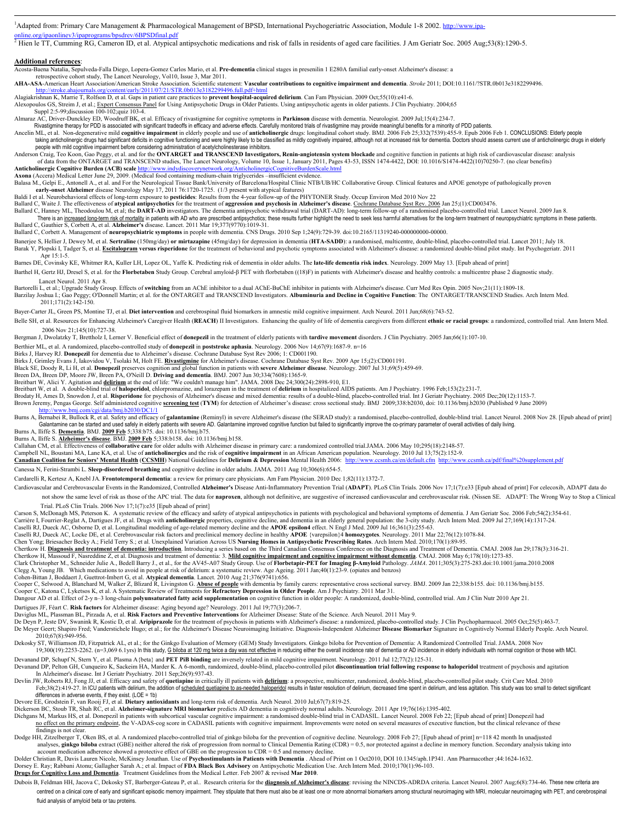$\frac{1}{1}$ <sup>1</sup>Adapted from: Primary Care Management & Pharmacological Management of BPSD, International Psychogeriatric Association, Module 1-8 2002. http://www.ipa-

online.org/ipaonlinev3/ipaprograms/bpsdrev/6BPSDfinal.pdf<br><sup>2</sup> Hien le TT, Cumming RG, Cameron ID, et al. Atypical antipsychotic medications and risk of falls in residents of aged care facilities. J Am Geriatr Soc. 2005 Aug

#### **Additional references**:

Acosta-Baena Natalia, Sepulveda-Falla Diego, Lopera-Gomez Carlos Mario, et al. **Pre-dementia** clinical stages in presenilin 1 E280A familial early-onset Alzheimer's disease: a

 retrospective cohort study, The Lancet Neurology, Vol10, Issue 3, Mar 2011. **AHA-ASA**-American Heart Association/American Stroke Association. Scientific statement: **Vascular contributions to cognitive impairment and dementia**. *Stroke* 2011; DOI:10.1161/?STR.0b013e3182299496. http://stroke.ahajournals.org/content/early/2011/07/21/STR.0b013e3182299496.full.pdf+html

Alagiakrishnan K, Marrie T, Rolfson D, et al. Gaps in patient care practices to **prevent hospital-acquired delirium**. Can Fam Physician. 2009 Oct;55(10):e41-6. Alexopoulos GS, Streim J, et al.; Expert Consensus Panel for Using Antipsychotic Drugs in Older Patients. Using antipsychotic agents in older patients. J Clin Psychiatry. 2004;65 Suppl 2:5-99;discussion 100-102;quiz 103-4.

Almaraz AC, Driver-Dunckley ED, Woodruff BK, et al. Efficacy of rivastigmine for cognitive symptoms in **Parkinson** disease with dementia. Neurologist. 2009 Jul;15(4):234-7.

Rivastigmine therapy for PDD is associated with significant tradeoffs in efficacy and adverse effects. Carefully monitored trials of rivastigmine may provide meaningful benefits for a minority of PDD patients.

Ancelin ML, et al. Non-degenerative mild **cognitive impairment** in elderly people and use of **anticholinergic** drugs: longitudinal cohort study. BMJ. 2006 Feb 25;332(7539):455-9. Epub 2006 Feb 1. CONCLUSIONS: Elderly peopl

Anderson Craig, Teo Koon, Gao Peggy, et al. and for the **ONTARGET and TRANSCEND Investigators, Renin-angiotensin system blockade** and cognitive function in patients at high risk of cardiovascular disease: analysis of data from the ONTARGET and TRANSCEND studies, The Lancet Neurology, Volume 10, Issue 1, January 2011, Pages 43-53, ISSN 1474-4422, DOI: 10.1016/S1474-4422(10)70250-7. (no clear benefits)<br>inergic Cognitive Burden (ACB) s Anticholinergic Cognitive Burden (ACB) scale http://www.indydiscoverynetwork.org/AnticholinergicCognitiveBurde<br>Axona (Accera) Medical Letter June 29, 2009. (Medical food containing medium-chain triglycerides -insufficient

Axona (Accera) Medical Letter June 29, 2009. (Medical food containing mediu Balasa M., Gelpi E., Antonell A., et al. and For the Neurological Tissue Bank/University of Barcelona/Hospital Clínic NTB/UB/HC Collaborative Group. Clinical features and APOE genotype of pathologically proven early-onset

Baldi I et al. Neurobehavioral effects of long-term exposure to **pesticides**: Results from the 4-year follow-up of the PHYTONER Study. Occup Environ Med 2010 Nov 22

Ballard C, Waite J. The effectiveness of **atypical antipsychotics** for the treatment of **aggression and psychosis in Alzheimer's diseas**e. <u>Cochrane Database Syst Rev. 2006</u> Jan 25;(1):CD003476.<br>Ballard C, Hanney ML, Theod There is an increased long-term risk of mortality in patients with AD who are prescribed antipsychotics; these results further highlight the need to seek less harmful alternatives for the long-term treatment of neuropsychi

Ballard C, Corbett A. Management of **neuropsychiatric symptoms** in people with dementia. CNS Drugs. 2010 Sep 1;24(9):729-39. doi:10.2165/11319240-000000000-00000.

Banerjee S, Hellier J, Dewey M, et al. Sertraline (150mg/day) or mirtazapine (45mg/day) for depression in dementia (HTA-SADD): a randomised, multicentre, double-blind, placebo-controlled trial. Lancet 2011; July 18 Barak Y, Plopski I, Tadger S, et al. Escitalopram versus risperidone for the treatment of behavioral and psychotic symptoms associated with Alzheimer's disease: a randomized double-blind pilot study. Int Psychogeriatr. 201 Apr 15:1-5.

Barnes DE, Covinsky KE, Whitmer RA, Kuller LH, Lopez OL, Yaffe K. Predicting risk of dementia in older adults. The **late-life dementia risk index**. Neurology. 2009 May 13. [Epub ahead of print] Barthel H, Gertz HJ, Dresel S, et al. for the Florbetaben Study Group. Cerebral amyloid-β PET with florbetaben ((18)F) in patients with Alzheimer's disease and healthy controls: a multicentre phase 2 diagnostic study.

Lancet Neurol. 2011 Apr 8.

Bartorelli L, et al.; Upgrade Study Group. Effects of switching from an AChE inhibitor to a dual AChE-BuChE inhibitor in patients with Alzheimer's disease. Curr Med Res Opin. 2005 Nov;21(11):1809-18. Barzilay Joshua I.; Gao Peggy; O'Donnell Martin; et al. for the ONTARGET and TRANSCEND Investigators. **Albuminuria and Decline in Cognitive Function**: The ONTARGET/TRANSCEND Studies. Arch Intern Med. 2011;171(2):142-150.

Bayer-Carter JL, Green PS, Montine TJ, et al. **Diet intervention** and cerebrospinal fluid biomarkers in amnestic mild cognitive impairment. Arch Neurol. 2011 Jun;68(6):743-52.

Belle SH, et al. Resources for Enhancing Alzheimer's Caregiver Health (REACH) II Investigators. Enhancing the quality of life of dementia caregivers from different ethnic or racial groups: a randomized, controlled trial. A 2006 Nov 21;145(10):727-38.

Bergman J, Dwolatzky T, Brettholz I, Lerner V. Beneficial effect of **donepezil** in the treatment of elderly patients with **tardive movement** disorders. J Clin Psychiatry. 2005 Jan;66(1):107-10.

Berthier ML, et al. A randomized, placebo-controlled study of **donepezil** in **poststroke aphasia**. Neurology. 2006 Nov 14;67(9):1687-9. n=16<br>Birks J, Harvey RJ. **Donepezil** for dementia due to Alzheimer's disease. Cochrane

Birks J, Grimley Evans J, Iakovidou V, Tsolaki M, Holt FE. <mark>Rivastigmine</mark> for Alzheimer's disease. Cochrane Database Syst Rev. 2009 Apr 15;(2):CD001191.<br>Black SE, Doody R, Li H, et al. **Donepezil** preserves cognition and g

Breen DA, Breen DP, Moore JW, Breen PA, O'Neill D. **Driving and dementia**. BMJ. 2007 Jun 30;334(7608):1365-9.<br>Breitbart W, Alici Y. Agitation and <mark>delirium</mark> at the end of life: "We couldn't manage him". JAMA. 2008 Dec 24;3

Brodaty H, Ames D, Snowdon J, et al. **Risperidone** for psychosis of Alzheimer's disease and mixed dementia: results of a double-blind, placebo-controlled trial. Int J Geriatr Psychiatry. 2005 Dec;20(12):1153-7.<br>Brown Jerem data/bmj.b2030/DC1/1

Burns A. Bernabei R. Bullock R. et al. Safety and efficacy of galantamine (Reminyl) in severe Alzheimer's disease (the SERAD study): a randomised, placebo-controlled, double-blind trial, Lancet Neurol, 2008 Nov 28. [Epub a Galantamine can be started and used safely in elderly patients with severe AD. Galantamine improved cognitive function but failed to significantly improve the co-primary parameter of overall activities of daily living.<br>Bur

Callahan CM, et al. Effectiveness of **collaborative care** for older adults with Alzheimer disease in primary care: a randomized controlled trial.JAMA. 2006 May 10;295(18):2148-57.<br>Campbell NL, Boustani MA, Lane KA, et al.

ors' Mental Health (CCSMH) National Guidelines for Delirium & Depression Mental Health 2006: ht

Canessa N, Ferini-Strambi L. **Sleep-disordered breathing** and cognitive decline in older adults. JAMA. 2011 Aug 10;306(6):654-5.

Cardarelli R, Kertesz A, Knebl JA. **Frontotemporal dementia**: a review for primary care physicians. Am Fam Physician. 2010 Dec 1;82(11):1372-7.

Cardiovascular and Cerebrovascular Events in the Randomized, Controlled Alzheimer's Disease Anti-Inflammatory Prevention Trial (ADAPT). PLoS Clin Trials. 2006 Nov 17;1(7):e33 [Epub ahead of print] For celecoxib, ADAPT data not show the same level of risk as those of the APC trial. The data for naproxen, although not definitive, are suggestive of increased cardiovascular and cerebrovascular risk. (Nissen SE. ADAPT: The Wrong Way to Stop a Cli

Trial. PLoS Clin Trials. 2006 Nov 17;1(7):e35 [Epub ahead of print]

Carson S, McDonagh MS, Peterson K. A systematic review of the efficacy and safety of atypical antipsychotics in patients with psychological and behavioral symptoms of dementia. J Am Geriatr Soc. 2006 Feb;54(2):354-61.<br>Cari

Caselli RJ, Dueck AC, Locke DE, et al. Cerebrovascular risk factors and preclinical memory decline in healthy **APOE** {varepsilon}4 **homozygotes**. Neurology. 2011 Mar 22;76(12):1078-84.

Chen Yong; Briesacher Becky A.; Field Terry S.; et al. Unexplained Variation Across US **Nursing Homes in Antipsychotic Prescribing Rates**. Arch Intern Med. 2010;170(1):89-95.

Chertkow H. Diagnosis and treatment of dementia: introduction. Introducing a series based on the Third Canadian Consensus Conference on the Diagnosis and Treatment of Dementia. CMAJ. 2008 Jan 29;178(3):316-21.<br>Chertkow H,

Clark Christopher M., Schneider Julie A., Bedell Barry J., et al., for the AV45-A07 Study Group. Use of Fl**orbetapir-PET for Imaging β-Amyloid** Pathology. JAMA. 2011;305(3):275-283.doi:10.1001/jama.2010.2008<br>Clegg A, Young

Cohen-Bittan J, Boddaert J, Guettrot-Imbert G, et al. Atyp**ical dementia**. Lancet. 2010 Aug 21;376(9741):656.<br>Cooper C, Selwood A, Blanchard M, Walker Z, Blizard R, Livingston G. <u>Abuse of people</u> with dementia by family c

Dangour AD et al. Effect of 2-y n–3 long-chain **polyunsaturated fatty acid supplementation** on cognitive function in older people: A randomized, double-blind, controlled trial. Am J Clin Nutr 2010 Apr 21.

Dartigues JF, Féart C. **Risk factors** for Alzheimer disease: Aging beyond age? Neurology. 2011 Jul 19;77(3):206-7.<br>Daviglus ML, Plassman BL, Pirzada A, et al. **Risk Factors and Preventive Interventions** for Alzheimer Disea

De Deyn P, Jeste DV, Swanink R, Kostic D, et al. **Aripiprazole** for the treatment of psychosis in patients with Alzheimer's disease: a randomized, placebo-controlled study. J Clin Psychopharmacol. 2005 Oct;25(5):463-7. De Meyer Geert; Shapiro Fred; Vanderstichele Hugo; et al.; for the Alzheimer's Disease Neuroimaging Initiative. Diagnosis-Independent Alzheimer Disease Biomarker Signature in Cognitively Normal Elderly People. Arch Neurol.

Dekosky ST, Williamson JD, Fitzpatrick AL, et al.; for the Ginkgo Evaluation of Memory (GEM) Study Investigators. Ginkgo biloba for Prevention of Dementia: A Randomized Controlled Trial. JAMA. 2008 Nov 19;300(19):2253-2262

Devanand DP, Schupf N, Stern Y, et al. Plasma A {beta} and **PET PiB binding** are inversely related in mild cognitive impairment. Neurology. 2011 Jul 12;77(2):125-31.<br>Devanand DP, Pelton GH, Cunqueiro K, Sackeim HA, Marder

In Alzheimer's disease. Int J Geriatr Psychiatry. 2011 Sep;26(9):937-43.

Devlin JW, Roberts RJ, Fong JJ, et al. Efficacy and safety of quetiapine in critically ill patients with delirium: a prospective, multicenter, randomized, double-blind, placebo-controlled pilot study. Crit Care Med. 2010<br>F differences in adverse events, if they exist. (LOE = 1b)

Devore EE, Grodstein F, van Rooij FJ, et al. **Dietary antioxidants** and long-term risk of dementia. Arch Neurol. 2010 Jul;67(7):819-25.

Dickerson BC, Stoub TR, Shah RC, et al. Alzheimer-signature MRI biomarker predicts AD dementia in cognitively normal adults. Neurology. 2011 Apr 19;76(16):1395-402.<br>Dichgans M, Markus HS, et al. Donepezil in patients with findings is not clear.

Dodge HH, Zitzelberger T, Oken BS, et al. A randomized placebo-controlled trial of ginkgo biloba for the prevention of cognitive decline. Neurology. 2008 Feb 27; [Epub ahead of print] n=118 42 month In unadjusted analyses, ginkgo biloba extract (GBE) neither altered the risk of progression from normal to Clinical Dementia Rating (CDR) = 0.5, nor protected against a decline in memory function. Secondary analysis taking into account

Dolder Christian R, Davis Lauren Nicole, McKinsey Jonathan. Use of **Psychostimulants in Patients with Dementia** . Ahead of Print on 1 Oct2010, DOI 10.1345/aph.1P341. Ann Pharmacother ;44:1624-1632. Dorsey E. Ray; Rabbani Atonu; Gallagher Sarah A.; et al. Impact of **FDA Black Box Advisory** on Antipsychotic Medication Use. Arch Intern Med. 2010;170(1):96-103.<br><mark>Drugs for Cognitive Loss and Dementia</mark>. Treatment Guideline

Dubois B, Feldman HH, Jacova C, Dekosky ST, Barberger-Gateau P, et al.. Research criteria for the diagnosis of Alzheimer's disease: revising the NINCDS-ADRDA criteria. Lancet Neurol. 2007 Aug;6(8):734-46. These new criteri centred on a clinical core of early and significant episodic memory impairment. They stipulate that there must also be at least one or more abnormal biomarkers among structural neuroimaging with MRI, molecular neuroimaging fluid analysis of amyloid beta or tau proteins.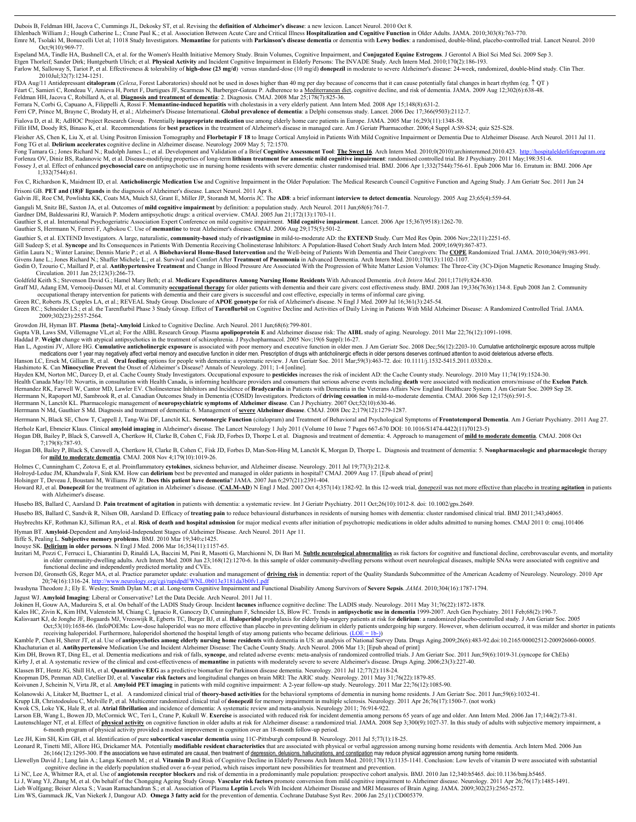Dubois B, Feldman HH, Jacova C, Cummings JL, Dekosky ST, et al. Revising the **definition of Alzheimer's disease**: a new lexicon. Lancet Neurol. 2010 Oct 8.

Ehlenbach William J.; Hough Catherine L.; Crane Paul K.; et al. Association Between Acute Care and Critical Illness **Hospitalization and Cognitive Function** in Older Adults. JAMA. 2010;303(8):763-770. Emre M, Tsolaki M, Bonuccelli Uet al; 11018 Study Investigators. Memantine for patients with Parkinson's disease dementia or dementia with Lewy bodies: a randomised, double-blind, placebo-controlled trial. Lancet Neurol. 2

 Oct;9(10):969-77. Espeland MA, Tindle HA, Bushnell CA, et al. for the Women's Health Initiative Memory Study. Brain Volumes, Cognitive Impairment, and **Conjugated Equine Estrogens**. J Gerontol A Biol Sci Med Sci. 2009 Sep 3. Etgen Thorleif; Sander Dirk; Huntgeburth Ulrich; et al. **Physical Activity** and Incident Cognitive Impairment in Elderly Persons: The INVADE Study. Arch Intern Med. 2010;170(2):186-193.<br>Farlow M, Salloway S, Tariot P, et a

2010Jul;32(7):1234-1251.

FDA Aug/11 Antidepressant citalopram (Celexa, Forest Laboratories) should not be used in doses higher than 40 mg per day because of concerns that it can cause potentially fatal changes in heart rhythm (eg. ↑QT )<br>Féart C, S

Feldman HH, Jacova C, Robillard A, et al. **Diagnosis and treatment of dementia**: 2. Diagnosis. CMAJ. 2008 Mar 25;178(7):825-36. Ferrara N, Corbi G, Capuano A, Filippelli A, Rossi F. **Memantine-induced hepatitis** with cholestasis in a very elderly patient. Ann Intern Med. 2008 Apr 15;148(8):631-2.

Ferri CP, Prince M, Brayne C, Brodaty H, et al.; Alzheimer's Disease International. **Global prevalence of dementia**: a Delphi consensus study. Lancet. 2006 Dec 17;366(9503):2112-7.

Fialova D, et al. R; AdHOC Project Research Group. Potentially **inappropriate medication** use among elderly home care patients in Europe. JAMA. 2005 Mar 16;293(11):1348-58.

Fillit HM, Doody RS, Binaso K, et al. Recommendations for **best practices** in the treatment of Alzheimer's disease in managed care. Am J Geriatr Pharmacother. 2006;4 Suppl A:S9-S24; quiz S25-S28.

Fleisher AS, Chen K, Liu X, et al. Using Positron Emission Tomography and Florbetapir F 18 to Image Cortical Amyloid in Patients With Mild Cognitive Impairment or Dementia Due to Alzheimer Disease. Arch Neurol. 2011 Jul 11 Fong TG et al. **Delirium accelerates** cognitive decline in Alzheimer disease. Neurology 2009 May 5; 72:1570.<br>Fong Tamara G.; Jones Richard N.; Rudolph James L.; et al. Development and Validation of a Brief **Cognitive Asses** 

Forlenza OV, Diniz BS, Radanovic M, et al. Disease-modifying properties of long-term **lithium treatment for amnestic mild cognitive impairment**: randomised controlled trial. Br J Psychiatry. 2011 May,198:351-6.<br>Fossey J, e 1;332(7544):61.

Fox C, Richardson K, Maidment ID, et al. **Anticholinergic Medication Use** and Cognitive Impairment in the Older Population: The Medical Research Council Cognitive Function and Ageing Study. J Am Geriatr Soc. 2011 Jun 24

Frisoni GB. **PET and (18)F ligands** in the diagnosis of Alzheimer's disease. Lancet Neurol. 2011 Apr 8.<br>Galvin JE, Roe CM, Powlishta KK, Coats MA, Muich SJ, Grant E, Miller JP, Storandt M, Morris JC. The **AD8**: a brief inf

Ganguli M, Snitz BE, Saxton JA, et al. Outcomes of **mild cognitive impairment** by definition: a population study. Arch Neurol. 2011 Jun;68(6):761-7.<br>Gardner DM, Baldessarini RJ, Waraich P. Modern antipsychotic drugs: a cri

Gauthier S, et al. International Psychogeriatric Association Expert Conference on mild cognitive impairment. **Mild cognitive impairment**. Lancet. 2006 Apr 15;367(9518):1262-70. Gauthier S, Herrmann N, Ferreri F, Agbokou C. Use of **memantine** to treat Alzheimer's disease. CMAJ. 2006 Aug 29;175(5):501-2.

Gauthier S, et al. EXTEND Investigators. A large, naturalistic, **community-based** study of **rivastigmine** in mild-to-moderate AD: the **EXTEND** Study. Curr Med Res Opin. 2006 Nov;22(11):2251-65.

Gill Sudeep S; et al. Syncope and Its Consequences in Patients With Dementia Receiving Cholinesterase Inhibitors: A Population-Based Cohort Study Arch Intern Med. 2009;169(9):867-873.<br>Gitlin Laura N.; Winter Laraine; Denni Givens Jane L.; Jones Richard N.; Shaffer Michele L.; et al. Survival and Comfort After **Treatment of Pneumonia** in Advanced Dementia. Arch Intern Med. 2010;170(13):1102-1107.

Godin O, Tzourio C, Maillard P, et al. Antihypertensive Treatment and Change in Blood Pressure Are Associated With the Progression of White Matter Lesion Volumes: The Three-City (3C)-Dijon Magnetic Resonance Imaging Study.

Circulation. 2011 Jan 25;123(3):266-73.<br>Goldfeld Keith S.; Stevenson David G.; Hamel Mary Beth; et al. M**edicare Expenditures Among Nursing Home Residents** With Advanced Dementia. Arch Intern Med. 2011;171(9):824-830.<br>Graf

occupational therapy intervention for patients with dementia and their care givers is successful and cost effective, especially in terms of informal care giving.<br>Green RC, Roberts JS, Cupples LA, et al.; REVEAL Study Group

Green RC.; Schneider LS.; et al. the Tarenflurbil Phase 3 Study Group. Effect of Tarenflurbil on Cognitive Decline and Activities of Daily Living in Patients With Mild Alzheimer Disease: A Randomized Controlled Trial. JAMA 2009;302(23):2557-2564.

Growdon JH, Hyman BT. **Plasma {beta}-Amyloid** Linked to Cognitive Decline. Arch Neurol. 2011 Jun;68(6):799-801.

Gupta VB, Laws SM, Villemagne VL,et al; For the AIBL Research Group. Plasma apolipoprotein E and Alzheimer disease risk: The AIBL study of aging. Neurology. 2011 Mar 22;76(12):1091-1098.<br>Haddad P. Weight change with atypic

Han L, Agostini JV, Allore HG. Cumulative anticholinergic exposure is associated with poor memory and executive function in older men. J Am Geriatr Soc. 2008 Dec;56(12):2203-10. Cumulative anticholinergic exposure across m

Hayden KM, Norton MC, Darcey D, et al. Cache County Study Investigators. Occupational exposure to **pesticides** increases the risk of incident AD: the Cache County study. Neurology. 2010 May 11;74(19):1524-30.<br>Health Canada Hernandez RK, Farwell W, Cantor MD, Lawler EV. Cholinesterase Inhibitors and Incidence of **Bradycardia** in Patients with Dementia in the Veterans Affairs New England Healthcare System. J Am Geriatr Soc. 2009 Sep 28. Herrmann N, Rapoport MJ, Sambrook R, et al. Canadian Outcomes Study in Dementia (COSID) Investigators. Predictors of **driving cessation** in mild-to-moderate dementia. CMAJ. 2006 Sep 12;175(6):591-5.<br>Herrmann N, Lanctôt KL.

Herrmann N Md, Gauthier S Md. Diagnosis and treatment of dementia: 6. Management of **severe Alzheimer disease**. CMAJ. 2008 Dec 2;179(12):1279-1287.

Herrmann N, Black SE, Chow T, Cappell J, Tang-Wai DF, Lanctôt KL. Serotonergic Function (citalopram) and Treatment of Behavioral and Psychological Symptoms of Frontotemporal Dementia. Am J Geriatr Psychiatry. 2011 Aug 27.

Herholz Karl, Ebmeier Klaus. Clinical **amyloid imaging** in Alzheimer's disease. The Lancet Neurology 1 July 2011 (Volume 10 Issue 7 Pages 667-670 DOI: 10.1016/S1474-4422(11)70123-5)<br>Hogan DB, Bailey P, Black S, Carswell A, 7;179(8):787-93.

Hogan DB, Bailey P, Black S, Carswell A, Chertkow H, Clarke B, Cohen C, Fisk JD, Forbes D, Man-Son-Hing M, Lanctôt K, Morgan D, Thorpe L. Diagnosis and treatment of dementia: 5. Nonpharmacologic and pharmacologic therapy for **mild to moderate dementia**. CMAJ. 2008 Nov 4;179(10):1019-26.

Holmes C, Cunningham C, Zotova E, et al. Proinflammatory **cytokines**, sickness behavior, and Alzheimer disease. Neurology. 2011 Jul 19;77(3):212-8.

Holroyd-Leduc JM, Khandwala F, Sink KM. How can **delirium** best be prevented and managed in older patients in hospital? CMAJ. 2009 Aug 17. [Epub ahead of print]<br>Holsinger T, Deveau J, Boustani M, Williams JW Jr. **Does this** 

Howard RJ, et al. Donepezil for the treatment of agitation in Alzheimer's disease. (CALM-AD) N Engl J Med. 2007 Oct 4;357(14):1382-92. In this 12-week trial, donepezil was not more effective than placebo in treating agitat with Alzheimer's disease.

Husebo BS, Ballard C, Aarsland D. **Pain treatment of agitation** in patients with dementia: a systematic review. Int J Geriatr Psychiatry. 2011 Oct;26(10):1012-8. doi: 10.1002/gps.2649.

Husebo BS, Ballard C, Sandvik R, Nilsen OB, Aarsland D. Efficacy of **treating pain** to reduce behavioural disturbances in residents of nursing homes with dementia: cluster randomised clinical trial. BMJ 2011;343;d4065.

Huybrechts KF, Rothman KJ, Silliman RA., et al. Risk of death and hospital admission for major medical events after initiation of psychotropic medications in older adults admitted to nursing homes. CMAJ 2011 0: cmaj.101406

Hyman BT. **Amyloid**-Dependent and Amyloid-Independent Stages of Alzheimer Disease. Arch Neurol. 2011 Apr 11.

Iliffe S, Pealing L. **Subjective memory problems**. BMJ. 2010 Mar 19;340:c1425. Inouye SK. **Delirium in older persons**. N Engl J Med. 2006 Mar 16;354(11):1157-65.

Inzitari M, Pozzi C, Ferrucci L, Chiarantini D, Rinaldi LA, Baccini M, Pini R, Masotti G, Marchiomi N, Di Bari M. Subtle neurological abnormalities as risk factors for cognitive and functional decline, cerebrovascular even functional decline and independently predicted mortality and CVEs.

Iverson DJ, Gronseth GS, Reger MA, et al. Practice parameter update: evaluation and management of driving risk in dementia: report of the Quality Standards Subcommittee of the American Academy of Neurology. Neurology. 2010 pdf/WNL.0b013e3181da3b0fv1.pd

Iwashyna Theodore J.; Ely E. Wesley; Smith Dylan M.; et al. Long-term Cognitive Impairment and Functional Disability Among Survivors of **Severe Sepsis**. *JAMA*. 2010;304(16):1787-1794.

Jagust WJ. **Amyloid Imaging**: Liberal or Conservative? Let the Data Decide. Arch Neurol. 2011 Jul 11.

Jokinen H, Gouw AA, Madureira S, et al. On behalf of the LADIS Study Group. Incident l**acunes** influence cognitive decline: The LADIS study. Neurology. 2011 May 31;76(22):1872-1878.<br>Kales HC, Zivin K, Kim HM, Valenstein M,

Kalisvaart KJ, de Jonghe JF, Bogaards MJ, Vreeswijk R, Egberts TC, Burger BJ, et al. Haloperidol prophylaxis for elderly hip-surgery patients at risk for delirium: a randomized placebo-controlled study. J Am Geriatr Soc. 2 Oct;53(10):1658-66. (InfoPOEMs: Low-dose haloperidol was no more effective than placebo in preventing delirium in elderly patients undergoing hip surgery. However, when delirium occurred, it was milder and shorter in patie

Kamble P, Chen H, Sherer JT, et al. Use of **antipsychotics among elderly nursing home residents** with dementia in US: an analysis of National Survey Data. Drugs Aging.2009;26(6):483-92.doi:10.2165/00002512-200926060-00005.

Kim DH, Brown RT, Ding EL, et al. Dementia medications and risk of falls, syncope, and related adverse events: meta-analysis of randomized controlled trials. J Am Geriatr Soc. 2011 Jun;59(6):1019-31 (syncope for ChEls) Kirby J, et al. A systematic review of the clinical and cost-effectiveness of **memantine** in patients with moderately severe to severe Alzheimer's disease. Drugs Aging. 2006;23(3):227-40.

Klassen BT, Hentz JG, Shill HA, et al. **Quantitative EEG** as a predictive biomarker for Parkinson disease dementia. Neurology. 2011 Jul 12;77(2):118-24.

Knopman DS, Penman AD, Catellier DJ, et al. **Vascular risk factors** and longitudinal changes on brain MRI: The ARIC study. Neurology. 2011 May 31;76(22):1879-85.

Koivunen J, Scheinin N, Virta JR, et al. **Amyloid PET imaging** in patients with mild cognitive impairment: A 2-year follow-up study. Neurology. 2011 Mar 22;76(12):1085-90.

Kolanowski A, Litaker M, Buettner L, et al. A randomized clinical trial of **theory-based activities** for the behavioral symptoms of dementia in nursing home residents. J Am Geriatr Soc. 2011 Jun;59(6):1032-41.

Krupp LB, Christodoulou C, Melville P, et al. Multicenter randomized clinical trial of **donepezil** for memory impairment in multiple sclerosis. Neurology. 2011 Apr 26;76(17):1500-7. (not work)

Kwok CS, Loke YK, Hale R, et al. **Atrial fibrillation** and incidence of dementia: A systematic review and meta-analysis. Neurology 2011; 76:914-922.<br>Larson EB, Wang L, Bowen JD, McCormick WC, Teri L, Crane P, Kukull W. Exe

Lautenschlager NT, et al. Effect of physical activity on cognitive function in older adults at risk for Alzheimer disease: a randomized trial. JAMA. 2008 Sep 3;300(9):1027-37. In this study of adults with subjective memory 6-month program of physical activity provided a modest improvement in cognition over an 18-month follow-up period.

Lee JH, Kim SH, Kim GH, et al. Identification of pure **subcortical vascular dementia** using 11C-Pittsburgh compound B. Neurology. 2011 Jul 5;77(1):18-25.<br>Leonard R, Tinetti ME, Allore HG, Drickamer MA. Potentially **modifia** 26;166(12):1295-300. If the associations we have estimated are causal, then treatment of <u>depression, delusions, hallucinations, and constipation</u> may reduce physical aggression among nursing home residents.<br>Llewellyn Davi

cognitive decline in the elderly population studied over a 6-year period, which raises important new possibilities for treatment and prevention.

Li NC, Lee A, Whitmer RA, et al. Use of **angiotensin receptor blockers** and risk of dementia in a predominantly male population: prospective cohort analysis. BMJ. 2010 Jan 12;340:b5465. doi:10.1136/bmj.b5465. Li J, Wang YJ, Zhang M, et al. On behalf of the Chongqing Ageing Study Group. **Vascular risk factors** promote conversion from mild cognitive impairment to Alzheimer disease. Neurology. 2011 Apr 26;76(17):1485-1491.<br>Lieb Wo Lim WS, Gammack JK, Van Niekerk J, Dangour AD. **Omega 3 fatty acid** for the prevention of dementia. Cochrane Database Syst Rev. 2006 Jan 25;(1):CD005379.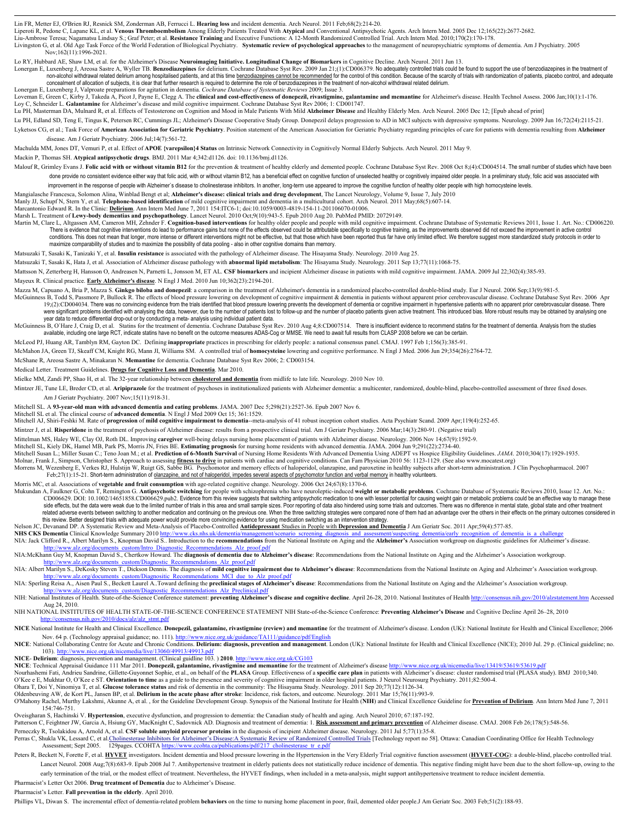Lin FR, Metter EJ, O'Brien RJ, Resnick SM, Zonderman AB, Ferrucci L. **Hearing loss** and incident dementia. Arch Neurol. 2011 Feb;68(2):214-20.

Liperoti R, Pedone C, Lapane KL, et al. **Venous Thromboembolism** Among Elderly Patients Treated With **Atypical** and Conventional Antipsychotic Agents. Arch Intern Med. 2005 Dec 12;165(22):2677-2682.<br>Liu-Ambrose Teresa; Nag

Livingston G, et al. Old Age Task Force of the World Federation of Biological Psychiatry. **Systematic review of psychological approaches** to the management of neuropsychiatric symptoms of dementia. Am J Psychiatry. 2005 Nov;162(11):1996-2021.

Lo RY, Hubbard AE, Shaw LM, et al. for the Alzheimer's Disease Ne<mark>uroimaging Initiative. Longitudinal Change of Biomarkers</mark> in Cognitive Decline. Arch Neurol. 2011 Jun 13.<br>Lonergan E, Luxenberg J, Areosa Sastre A, Wyller T non-alcohol withdrawal related delirium among hospitalised patients, and at this time benzodiazepines cannot be recommended for the control of this condition. Because of the scarcity of trials with randomization of patient concealment of allocation of subjects, it is clear that further research is required to determine the role of benzodiazepines in the treatment of non-alcohol withdrawal related delirium Lonergan E, Luxenberg J, Valproate preparations for agitation in dementia. *Cochrane Database of Systematic Reviews* 2009; Issue 3.

Loveman E, Green C, Kirby J, Takeda A, Picot J, Payne E, Clegg A. The clinical and cost-effectiveness of donepezil, rivastigmine, galantamine and memantine for Alzheimer's disease. Health Technol Assess. 2006 Jan;10(1):1-1 Loy C, Schneider L. **Galantamine** for Alzheimer's disease and mild cognitive impairment. Cochrane Database Syst Rev 2006; 1: CD001747.

Lu PH, Masterman DA, Mulnard R, et al. Effects of Testosterone on Cognition and Mood in Male Patients With Mild **Alzheimer Disease** and Healthy Elderly Men. Arch Neurol. 2005 Dec 12; [Epub ahead of print]

Lu PH, Edland SD, Teng E, Tingus K, Petersen RC, Cummings JL; Alzheimer's Disease Cooperative Study Group. Donepezil delays progression to AD in MCI subjects with depressive symptoms. Neurology. 2009 Jun 16;72(24):2115-21. Lyketsos CG, et al.; Task Force of American Association for Geriatric Psychiatry. Position statement of the American Association for Geriatric Psychiatry regarding principles of care for patients with dementia resulting fr

disease. Am J Geriatr Psychiatry. 2006 Jul;14(7):561-72.

Machulda MM, Jones DT, Vemuri P, et al. Effect of **APOE {varepsilon}4 Status** on Intrinsic Network Connectivity in Cognitively Normal Elderly Subjects. Arch Neurol. 2011 May 9. Mackin P, Thomas SH. **Atypical antipsychotic drugs**. BMJ. 2011 Mar 4;342:d1126. doi: 10.1136/bmj.d1126.

Malouf R, Grimley Evans J. Folic acid with or without vitamin B12 for the prevention & treatment of healthy elderly and demented people. Cochrane Database Syst Rev. 2008 Oct 8;(4):CD004514. The small number of studies whic done provide no consistent evidence either way that folic acid, with or without vitamin B12, has a beneficial effect on cognitive function of unselected healthy or cognitively impaired older people. In a preliminary study,

improvement in the response of people with Alzheimer`s disease to cholinesterase inhibitors. In another, long-term use appeared to improve the cognitive function of healthy older people with high homocysteine levels.

Mangialasche Francesca, Solomon Alina, Winblad Bengt et al; **Alzheimer's disease: clinical trials and drug development**, The Lancet Neurology, Volume 9, Issue 7, July 2010

Manly JJ, Schupf N, Stern Y, et al. **Telephone-based identification** of mild cognitive impairment and dementia in a multicultural cohort. Arch Neurol. 2011 May;68(5):607-14.<br>Marcantonio Edward R. In the Clinic: <u>Delirium</u>.

Marsh L. Treatment of **Lewy-body dementias and psychopathology**. Lancet Neurol. 2010 Oct;9(10):943-5. Epub 2010 Aug 20. PubMed PMID: 20729149.

Martin M. Clare L. Altgassen AM. Cameron MH. Zehnder F. Cognition-based interventions for healthy older people and people with mild cognitive impairment. Cochrane Database of Systematic Reviews 2011, Issue 1, Art. No.: CD0 There is evidence that cognitive interventions do lead to performance gains but none of the effects observed could be attributable specifically to cognitive training, as the improvements observed did not exceed the improve conditions. This does not mean that longer, more intense or different interventions might not be effective, but that those which have been reported thus far have only limited effect. We therefore suggest more standardized maximize comparability of studies and to maximize the possibility of data pooling - also in other cognitive domains than memory.

Matsuzaki T, Sasaki K, Tanizaki Y, et al. **Insulin resistance** is associated with the pathology of Alzheimer disease. The Hisayama Study. Neurology. 2010 Aug 25.

Matsuzaki T, Sasaki K, Hata J, et al. Association of Alzheimer disease pathology with **abnormal lipid metabolism**: The Hisayama Study. Neurology. 2011 Sep 13;77(11):1068-75.

Mattsson N, Zetterberg H, Hansson O, Andreasen N, Parnetti L, Jonsson M, ET AL. **CSF biomarkers** and incipient Alzheimer disease in patients with mild cognitive impairment. JAMA. 2009 Jul 22;302(4):385-93.

Mayeux R. Clinical practice. **Early Alzheimer's disease**. N Engl J Med. 2010 Jun 10;362(23):2194-201.

Mazza M, Capuano A, Bria P, Mazza S. **Ginkgo biloba and donepezil**: a comparison in the treatment of Alzheimer's dementia in a randomized placebo-controlled double-blind study. Eur J Neurol. 2006 Sep;13(9):981-5.

McGuinness B, Todd S, Passmore P, Bullock R. The effects of blood pressure lowering on development of cognitive impairment & dementia in patients without apparent prior cerebrovascular disease. Cochrane Database Syst Rev. were significant problems identified with analysing the data, however, due to the number of patients lost to follow-up and the number of placebo patients given active treatment. This introduced bias. More robust results ma year data to reduce differential drop-out or by conducting a meta- analysis using individual patient data.

McGuinness B, O'Hare J, Craig D, et al. Statins for the treatment of dementia. Cochrane Database Syst Rev. 2010 Aug 4;8:CD007514. There is insufficient evidence to recommend statins for the treatment of dementia. Analysis

McLeod PJ, Huang AR, Tamblyn RM, Gayton DC. Defining **inappropriate** practices in prescribing for elderly people: a national consensus panel. CMAJ. 1997 Feb 1;156(3):385-91.

McMahon JA, Green TJ, Skeaff CM, Knight RG, Mann JI, Williams SM. A controlled trial of **homocysteine** lowering and cognitive performance. N Engl J Med. 2006 Jun 29;354(26):2764-72.

#### McShane R, Areosa Sastre A, Minakaran N. **Memantine** for dementia. Cochrane Database Syst Rev 2006; 2: CD003154.

Medical Letter. Treatment Guidelines. **Drugs for Cognitive Loss and Dementia**. Mar 2010.

Mielke MM, Zandi PP, Shao H, et al. The 32-year relationship between **cholesterol and dementia** from midlife to late life. Neurology. 2010 Nov 10.

Mintzer JE, Tune LE, Breder CD, et al. Aripiprazole for the treatment of psychoses in institutionalized patients with Alzheimer dementia: a multicenter, randomized, double-blind, placebo-controlled assessment of three fixe Am J Geriatr Psychiatry. 2007 Nov;15(11):918-31.

Mitchell SL. A **93-year-old man with advanced dementia and eating problems**. JAMA. 2007 Dec 5;298(21):2527-36. Epub 2007 Nov 6.<br>Mitchell SL et al. The clinical course of **advanced dementia**. N Engl J Med 2009 Oct 15; 361:1

Mitchell AJ, Shiri-Feshki M. Rate of **progression** of **mild cognitive impairment to dementia**--meta-analysis of 41 robust inception cohort studies. Acta Psychiatr Scand. 2009 Apr;119(4):252-65.

Mintzer J, et al. Risperidone in the treatment of psychosis of Alzheimer disease: results from a prospective clinical trial. Am J Geriatr Psychiatry. 2006 Mar;14(3):280-91. (Negative trial)

Mittelman MS, Haley WE, Clay OJ, Roth DL. Improving **caregiver** well-being delays nursing home placement of patients with Alzheimer disease. Neurology. 2006 Nov 14;67(9):1592-9.

Mitchell SL, Kiely DK, Hamel MB, Park PS, Morris JN, Fries BE. **Estimating prognosis** for nursing home residents with advanced dementia. JAMA. 2004 Jun 9;291(22):2734-40.

Mitchell Susan L.; Miller Susan C.; Teno Joan M.; et al. Prediction of 6-Month Survival of Nursing Home Residents With Advanced Dementia Using ADEPT vs Hospice Eligibility Guidelines. JAMA. 2010;304(17):1929-1935.

Molnar, Frank J., Simpson, Christopher S. Approach to assessing **fitness to drive** in patients with cardiac and cognitive conditions. Can Fam Physician 2010 56: 1123-1129. (See also www.mocatest.org)

Morrens M, Wezenberg E, Verkes RJ, Hulstijn W, Ruigt GS, Sabbe BG. Psychomotor and memory effects of haloperidol, olanzapine, and paroxetine in healthy subjects after short-term administration. J Clin Psychopharmacol. 2007 Feb;27(1):15-21. Short-term administration of olanzapine, and not of haloperidol, impedes several aspects of psychomotor function and verbal memory in healthy volunteers.

Morris MC, et al. Associations of **vegetable and fruit consumption** with age-related cognitive change. Neurology. 2006 Oct 24;67(8):1370-6.

Mukundan A, Faulkner G, Cohn T, Remington G. Antipsychotic switching for people with schizophrenia who have neuroleptic-induced weight or metabolic problems. Cochrane Database of Systematic Reviews 2010, Issue 12. Art. No. side effects, but the data were weak due to the limited number of trials in this area and small sample sizes. Poor reporting of data also hindered using some trials and outcomes. There was no difference in mental state, gl state and contract the methods of the methods of the contract of the comparable were compared none of them had an advantage over the others in their effects on the primary outcomes considered in<br>related adverse events betw this review. Better designed trials with adequate power would provide more convincing evidence for using medication switching as an intervention strategy.

Nelson JC, Devanand DP. A Systematic Review and Meta-Analysis of Placebo-Controlled **Antidepressant** Studies in People with **Depression and Dementia** J Am Geriatr Soc. 2011 Apr;59(4):577-85.

NHS CKS Dementia Clinical Knowledge Summary 2010 http://www.cks.nhs.uk/dem

NIA: Jack Clifford R., Albert Marilyn S., Knopman David S.. Introduction to the recommendations from the National Institute on Aging and the Alzheimer's Association workgroup on diagnostic guidelines for Alzheimer's diseas http://www.alz.org/documents\_custom/Intro\_Diagnostic\_Recommendations\_Alz\_proof.pdf

NIA:McKhann Guy M, Knopman David S., Chertkow Howard. The **diagnosis of dementia due to Alzheimer's disease**: Recommendations from the National Institute on Aging and the Alzheimer's Association workgroup.

http://www.alz.org/documents\_custom/Diagnostic\_Recommendations\_Alz\_proof.pdf<br>NIA: Albert Marilyn S., DeKosky Steven T., Dickson Dennis. The diagnosis of **mild cognitive impairment due to Alzheimer's disease**: Recommendatio ustom/Diagnositic\_Recommendations\_MCI\_due\_to\_Alz\_proof.pd

NIA: Sperling Reisa A., Aisen Paul S., Beckett Laurel A..Toward defining the preclinical stages of Alzheimer's disease: Recommendations from the National Institute on Aging and the Alzheimer's Association workgroup. http://www.alz.org/documents\_custom/Diagnostic\_Recommendations\_Alz\_Preclinical.pdf<br>NIH: National Institutes of Health. State-of-the-Science Conference statement: preventing Alzheimer's disease and cognitive decline. April

 Aug 24, 2010. NIH NATIONAL INSTITUTES OF HEALTH STATE-OF-THE-SCIENCE CONFERENCE STATEMENT NIH State-of-the-Science Conference: **Preventing Alzheimer's Disease** and Cognitive Decline April 26–28, 2010

http://consensus.nih.gov/2010/docs/alz/alz\_stmt.pdf

NICE National Institute for Health and Clinical Excellence. Donepezil, galantamine, rivastigmine (review) and memantine for the treatment of Alzheimer's disease. London (UK): National Institute for Health and Clinical Exce Nov. 64 p. (Technology appraisal guidance; no. 111). http://www.nice.org.uk/guidance/TA111/guidance/pdf/English

NICE: National Collaborating Centre for Acute and Chronic Conditions. Delirium: diagnosis, prevention and management. London (UK): National Institute for Health and Clinical Excellence (NICE); 2010 Jul. 29 p. (Clinical gui emedia/live/13060/49913/49913.pdf

**NICE**- **Delirium**: diagnosis, prevention and management. (Clinical guidline 103. ) **2010**. http://www.nice.org.uk/CG103

**NICE**: Technical Appraisal Guidance 111 Mar 2011. **Donepezil, galantamine, rivastigmine and memantine** for the treatment of Alzheimer's disease http://www.nice.org.uk/nicemedia/live/13419/53619/53619.pdf

Nourhashemi Fati, Andrieu Sandrine, Gillette-Guyonnet Sophie, et al., on behalf of the PLASA Group. Effectiveness of a specific care plan in patients with Alzheimer's disease: cluster randomised trial (PLASA study). BMJ 20 O'Kee e E, Mukhtar O, O'Kee e ST. **Orientation to time** as a guide to the presence and severity of cognitive impairment in older hospital patients. J Neurol Neurosurg Psychiatry. 2011;82:500-4.

Ohara T, Doi Y, Ninomiya T, et al. **Glucose tolerance status** and risk of dementia in the community: The Hisayama Study. Neurology. 2011 Sep 20;77(12):1126-34.<br>Oldenbeuving AW, de Kort PL, Jansen BP, et al. **Delirium in th** 

O'Mahony Rachel, Murthy Lakshmi, Akunne A, et al., for the Guideline Development Group. Synopsis of the National Institute for Health (NIH) and Clinical Excellence Guideline for Prevention of Delirium. Ann Intern Med June 154:746-751. Oveisgharan S, Hachinski V. **Hypertension**, executive dysfunction, and progression to dementia: the Canadian study of health and aging. Arch Neurol 2010; 67:187-192.

Patterson C, Feightner JW, Garcia A, Hsiung GY, MacKnight C, Sadovnick AD. Diagnosis and treatment of dementia: 1. **Risk assessment and primary prevention** of Alzheimer disease. CMAJ. 2008 Feb 26;178(5):548-56.

Perneczky R, Tsolakidou A, Arnold A, et al. **CSF soluble amyloid precursor proteins** in the diagnosis of incipient Alzheimer disease. Neurology. 2011 Jul 5;77(1):35-8.

Perras C, Shukla VK, Lessard C, et al.Cholinesterase Inhibitors for Alzheimer's Disease:A Systematic Review of Randomized Controlled Trials [Technology report no 58]. Ottawa: Canadian Coordinating Office for Health Technol Peters R, Beckett N, Forette F, et al. HYVET investigators. Incident dementia and blood pressure lowering in the Hypertension in the Very Elderly Trial cognitive function assessment (HYVET-COG): a double-blind, placebo con

Lancet Neurol. 2008 Aug;7(8):683-9. Epub 2008 Jul 7. Antihypertensive treatment in elderly patients does not statistically reduce incidence of dementia. This negative finding might have been due to the short follow-up, owi early termination of the trial, or the modest effect of treatment. Nevertheless, the HYVET findings, when included in a meta-analysis, might support antihypertensive treatment to reduce incident dementia.

#### Pharmacist's Letter Oct 2006. **Drug treatment of Dementia** due to Alzheimer's Disease.

Pharmacist's Letter. **Fall prevention in the elderly**. April 2010.

Phillips VL, Diwan S. The incremental effect of dementia-related problem **behaviors** on the time to nursing home placement in poor, frail, demented older people.J Am Geriatr Soc. 2003 Feb;51(2):188-93.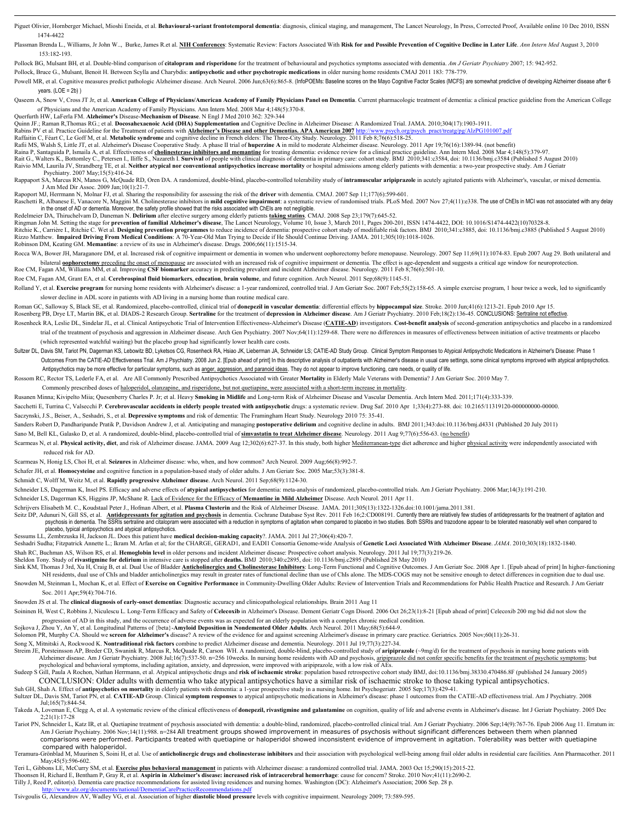Piguet Olivier, Homberger Michael, Mioshi Eneida, et al. Behavioural-variant frontotemporal dementia: diagnosis, clinical staging, and management, The Lancet Neurology, In Press, Corrected Proof, Available online 10 Dec 20 1474-4422

Plassman Brenda L., Williams, Jr John W.., Burke, James R.et al. NIH Conferences: Systematic Review: Factors Associated With Risk for and Possible Prevention of Cognitive Decline in Later Life. Ann Intern Med August 3, 201 153:182-193.

Pollock BG, Mulsant BH, et al. Double-blind comparison of **citalopram and risperidone** for the treatment of behavioural and psychotics symptoms associated with dementia. *Am J Geriatr Psychiatry* 2007; 15: 942-952.

Pollock, Bruce G., Mulsant, Benoit H. Between Scylla and Charybdis: **antipsychotic and other psychotropic medications** in older nursing home residents CMAJ 2011 183: 778-779.

Powell MR, et al. Cognitive measures predict pathologic Alzheimer disease. Arch Neurol. 2006 Jun;63(6):865-8. (InfoPOEMs: Baseline scores on the Mayo Cognitive Factor Scales (MCFS) are somewhat predictive of developing Alz  $years. (LOE = 2b)$ )

Oaseem A, Snow V, Cross JT Jr, et al. American College of Physicians/American Academy of Family Physicians Panel on Dementia. Current pharmacologic treatment of dementia: a clinical practice guideline from the American Col of Physicians and the American Academy of Family Physicians. Ann Intern Med. 2008 Mar 4;148(5):370-8.

Querfurth HW, LaFerla FM. **Alzheimer's** Disease-**Mechanism of Disease**. N Engl J Med 2010 362: 329-344

Quinn JF.; Raman R,Thomas RG.; et al. **Docosahexaenoic Acid (DHA) Supplementation** and Cognitive Decline in Alzheimer Disease: A Randomized Trial. JAMA. 2010;304(17):1903-1911.

Rabins PV et al. Practice Guideline for the Treatment of patients with **Alzheimer's Disease and other Dementias. APA American 2007** http://www.psych.org/psych\_pract/treatg/pg/AlzPG101007.pdf

Raffaitin C, Féart C, Le Goff M, et al. Metabolic syndrome and cognitive decline in French elders: The Three-City Study. Neurology. 2011 Feb 8;76(6):518-25.<br>Rafii MS, Walsh S, Little JT, et al. Alzheimer's Disease Cooperat

Raina P, Santaguida P, Ismaila A, et al. Effectiveness of cholinesterase inhibitors and memantine for treating dementia: evidence review for a clinical practice guideline. Ann Intern Med. 2008 Mar 4;148(5):379-97.<br>Rait G.,

Raivio MM, Laurila JV, Strandberg TE, et al. Ne**ither atypical nor conventional antipsychotics increase mortality** or hospital admissions among elderly patients with dementia: a two-year prospective study. Am J Geriatr<br>Psy

Rappaport SA, Marcus RN, Manos G, McQuade RD, Oren DA. A randomized, double-blind, placebo-controlled tolerability study of intramuscular aripiprazole in acutely agitated patients with Alzheimer's, vascular, or mixed demen J Am Med Dir Assoc. 2009 Jan;10(1):21-7.

Rapoport MJ, Herrmann N, Molnar FJ, et al. Sharing the responsibility for assessing the risk of the **driver** with dementia. CMAJ. 2007 Sep 11;177(6):599-601.

Raschetti R, Albanese E, Vanacore N, Maggini M. Cholinesterase inhibitors in **mild cognitive impairment**: a systematic review of randomised trials. PLoS Med. 2007 Nov 27;4(11):e338. The use of ChEls in MCI was not associat

Redelmeier DA, Thiruchelvam D, Daneman N. **Delirium** after elective surgery among elderly patients <mark>taking statins</mark>. CMAJ. 2008 Sep 23:179(7):645-52.<br>Ringman John M. Setting the stage for **precedion of familial Alzheimer's** Rizzo Matthew. **Impaired Driving From Medical Conditions**: A 70-Year-Old Man Trying to Decide if He Should Continue Driving. JAMA. 2011;305(10):1018-1026. Robinson DM, Keating GM. **Memantine**: a review of its use in Alzheimer's disease. Drugs. 2006;66(11):1515-34.

Rocca WA, Bower JH, Maraganore DM, et al. Increased risk of cognitive impairment or dementia in women who underwent oophorectomy before menopause. Neurology. 2007 Sep 11;69(11):1074-83. Epub 2007 Aug 29. Both unilateral an bilateral **oophorectomy** preceding the onset of menopause are associated with an increased risk of cognitive impairment or dementia. The effect is age-dependent and suggests a critical age window for neuroprotection. Roe CM, Fagan AM, Williams MM, et al. Improving **CSF biomarker** accuracy in predicting prevalent and incident Alzheimer disease. Neurology. 2011 Feb 8;76(6):501-10.

Roe CM, Fagan AM, Grant EA, et al. **Cerebrospinal fluid biomarkers**, **education**, **brain volume**, and future cognition. Arch Neurol. 2011 Sep;68(9):1145-51.

Rolland Y, et al. Exercise program for nursing home residents with Alzheimer's disease: a 1-year randomized, controlled trial. J Am Geriatr Soc. 2007 Feb; 55(2): 158-65. A simple exercise program, 1 hour twice a week, led slower decline in ADL score in patients with AD living in a nursing home than routine medical care.

Roman GC, Salloway S, Black SE, et al. Randomized, placebo-controlled, clinical trial of donepezil in vascular dementia: differential effects by hippocampal size. Stroke. 2010 Jun;41(6):1213-21. Epub 2010 Apr 15 Rosenberg PB, Drye LT, Martin BK, et al. DIADS-2 Research Group. Sertraline for the treatment of depression in Alzheimer disease. Am J Geriatr Psychiatry. 2010 Feb;18(2):136-45. CONCLUSIONS: Sertraline not effective Rosenheck RA, Leslie DL, Sindelar JL, et al. Clinical Antipsychotic Trial of Intervention Effectiveness-Alzheimer's Disease (CATIE-AD) investigators. Cost-benefit analysis of second-generation antipsychotics and placebo in

- trial of the treatment of psychosis and aggression in Alzheimer disease. Arch Gen Psychiatry. 2007 Nov;64(11):1259-68. There were no differences in measures of effectiveness between initiation of active treatments or place (which represented watchful waiting) but the placebo group had significantly lower health care costs.
- Sultzer DL, Davis SM, Tariot PN, Dagerman KS, Lebowitz BD, Lyketsos CG, Rosenheck RA, Hsiao JK, Lieberman JA, Schneider LS; CATIE-AD Study Group. Clinical Symptom Responses to Atypical Antipsychotic Medications in Alzheime Outcomes From the CATIE-AD Effectiveness Trial. Am J Psychiatry. 2008 Jun 2. [Epub ahead of print] In this descriptive analysis of outpatients with Alzheimer's disease in usual care settings, some clinical symptoms improve Antipsychotics may be more effective for particular symptoms, such as anger, aggression, and paranoid ideas. They do not appear to improve functioning, care needs, or quality of life.

Rossom RC, Rector TS, Lederle FA, et al. Are All Commonly Prescribed Antipsychotics Associated with Greater **Mortality** in Elderly Male Veterans with Dementia? J Am Geriatr Soc. 2010 May 7.

Commonly prescribed doses of haloperidol, olanzapine, and risperidone, but not quetiapine, were associated with a short-term increase in mortality.

Rusanen Minna; Kivipelto Miia; Quesenberry Charles P. Jr; et al. Heavy **Smoking in Midlife** and Long-term Risk of Alzheimer Disease and Vascular Dementia. Arch Intern Med. 2011;171(4):333-339.

Sacchetti E, Turrina C, Valsecchi P. Cerebrovascular accidents in elderly people treated with antipsychotic drugs: a systematic review. Drug Saf. 2010 Apr 1;33(4):273-88. doi: 10.2165/11319120-00000000-00000.

Saczynski, J.S., Beiser, A., Seshadri, S., et al. **Depressive symptoms** and risk of dementia: The Framingham Heart Study. Neurology 2010 75: 35-41.

Sanders Robert D, Pandharipande Pratik P, Davidson Andrew J, et al. Anticipating and managing **postoperative delirium** and cognitive decline in adults. BMJ 2011;343:doi:10.1136/bmj.d4331 (Published 20 July 2011)

Sano M, Bell KL, Galasko D, et al. A randomized, double-blind, placebo-controlled trial of **simvastatin to treat Alzheimer disease**. Neurology. 2011 Aug 9;77(6):556-63. (no benefit)

Scarmeas N, et al. Physical activity, diet, and risk of Alzheimer disease. JAMA. 2009 Aug 12;302(6):627-37. In this study, both higher Mediterranean-type diet adherence and higher physical activity were independently assoc reduced risk for AD.

Scarmeas N, Honig LS, Choi H, et al. **Seizures** in Alzheimer disease: who, when, and how common? Arch Neurol. 2009 Aug;66(8):992-7.

Schafer JH, et al. **Homocysteine** and cognitive function in a population-based study of older adults. J Am Geriatr Soc. 2005 Mar;53(3):381-8.

Schmidt C, Wolff M, Weitz M, et al. **Rapidly progressive Alzheimer disease**. Arch Neurol. 2011 Sep;68(9):1124-30.

Schneider LS, Dagerman K, Insel PS. Efficacy and adverse effects of **atypical antipsychotics** for dementia: meta-analysis of randomized, placebo-controlled trials. Am J Geriatr Psychiatry. 2006 Mar;14(3):191-210.

Schneider LS, Dagerman KS, Higgins JP, McShane R. Lack of Evidence for the Efficacy of **Memantine in Mild Alzheimer** Disease. Arch Neurol. 2011 Apr 11.

Schrijvers Elisabeth M. C., Koudstaal Peter J., Hofman Albert, et al. **Plasma Clusterin** and the Risk of Alzheimer Disease. JAMA. 2011;305(13):1322-1326.doi:10.1001/jama.2011.381.

Seitz DP, Adunuri N, Gill SS, et al. Antidepressants for agitation and psychosis in dementia. Cochrane Database Syst Rev. 2011 Feb 16;2:CD008191. Currently there are relatively few studies of antidepressants for the treatm psychosis in dementia. The SSRIs sertraline and citalopram were associated with a reduction in symptoms of agitation when compared to placebo in two studies. Both SSRIs and trazodone appear to be tolerated reasonably well placebo, typical antipsychotics and atypical antipsychotics.<br>Sessums LL. Zembrzuska H. Jackson JL. Does this patient have **n** 

Sessums LL, Zembrzuska H, Jackson JL. Does this patient have **medical decision-making capacity**?. JAMA. 2011 Jul 27;306(4):420-7.

Seshadri Sudha; Fitzpatrick Annette L.; Ikram M. Arfan et al; for the CHARGE, GERAD1, and EADI1 Consortia Genome-wide Analysis of **Genetic Loci Associated With Alzheimer Disease**. *JAMA*. 2010;303(18):1832-1840. Shah RC, Buchman AS, Wilson RS, et al. **Hemoglobin level** in older persons and incident Alzheimer disease: Prospective cohort analysis. Neurology. 2011 Jul 19;77(3):219-26.

Sheldon Tony. Study of **rivastigmine for delirium** in intensive care is stopped after **deaths.** BMJ 2010;340:c2895, doi: 10.1136/bmj.c2895 (Published 28 May 2010)

Sink KM, Thomas J 3rd, Xu H, Craig B, et al. Dual Use of Bladder Anticholinergics and Cholinesterase Inhibitors: Long-Term Functional and Cognitive Outcomes. J Am Geriatr Soc. 2008 Apr 1. [Epub ahead of print] In higher-fu NH residents, dual use of ChIs and bladder anticholinergics may result in greater rates of functional decline than use of ChIs alone. The MDS-COGS may not be sensitive enough to detect differences in cognition due to dual Snowden M, Steinman L, Mochan K, et al. Effect of Exercise on Cognitive Performance in Community-Dwelling Older Adults: Review of Intervention Trials and Recommendations for Public Health Practice and Research. J Am Geriat Soc. 2011 Apr;59(4):704-716.

Snowden JS et al. The **clinical diagnosis of early-onset dementias**: Diagnostic accuracy and clinicopathological relationships. Brain 2011 Aug 11

Soininen H, West C, Robbins J, Niculescu L. Long-Term Efficacy and Safety of Celecoxib in Alzheimer's Disease. Dement Geriatr Cogn Disord. 2006 Oct 26;23(1):8-21 [Epub ahead of print] Celecoxib 200 mg bid did not slow the

progression of AD in this study, and the occurrence of adverse events was as expected for an elderly population with a complex chronic medical condition.<br>Sojkova J, Zhou Y, An Y, et al. Longitudinal Patterns of {beta}-Amyl

Solomon PR, Murphy CA. Should we **screen for Alzheimer's** disease? A review of the evidence for and against screening Alzheimer's disease in primary care practice. Geriatrics. 2005 Nov;60(11):26-31.

Song X, Mitnitski A, Rockwood K. **Nontraditional risk factors** combine to predict Alzheimer disease and dementia. Neurology. 2011 Jul 19;77(3):227-34.

Streim JE, Porsteinsson AP, Breder CD, Swanink R, Marcus R, McQuade R, Carson WH. A randomized, double-blind, placebo-controlled study of aripiprazole (~9mg/d) for the treatment of psychosis in nursing home patients with<br>A psychological and behavioral symptoms, including agitation, anxiety, and depression, were improved with aripiprazole, with a low risk of AEs.<br>Sudeep S Gill, Paula A Rochon, Nathan Herrmann, et al. Atypical antipsychotic dr

CONCLUSION: Older adults with dementia who take atypical antipsychotics have a similar risk of ischaemic stroke to those taking typical antipsychotics.

Suh GH, Shah A. Effect of antipsychotics on mortality in elderly patients with dementia: a 1-year prospective study in a nursing home. Int Psychogeriatr. 2005 Sep;17(3):429-41.<br>Sultzer DL, Davis SM, Tariot PN, et al. CATIE

Jul;165(7):844-54.

Takeda A, Loveman E, Clegg A, et al. A systematic review of the clinical effectiveness of donepezil, rivastigmine and galantamine on cognition, quality of life and adverse events in Alzheimer's disease. Int J Geriatr Psych 2;21(1):17-28 Tariot PN, Schneider L, Katz IR, et al. Quetiapine treatment of psychosis associated with dementia: a double-blind, randomized, placebo-controlled clinical trial. Am J Geriatr Psychiatry. 2006 Sep:14(9):767-76. Epub 2006 A

 Am J Geriatr Psychiatry. 2006 Nov;14(11):988. n=284 All treatment groups showed improvement in measures of psychosis without significant differences between them when planned comparisons were performed. Participants treated with quetiapine or haloperidol showed inconsistent evidence of improvement in agitation. Tolerability was better with quetiapine

compared with haloperidol.<br>Teramura-Grönblad M, Muurinen S, Soini H, et al. Use of a**nticholinergic drugs and cholinesterase inhibitors** and their association with psychological well-being among frail older adults in resid May; 45(5): 596-602.

Teri L, Gibbons LE, McCurry SM, et al. **Exercise plus behavioral management** in patients with Alzheimer disease: a randomized controlled trial. JAMA. 2003 Oct 15;290(15):2015-22.

Thoonsen H, Richard E, Bentham P, Gray R, et al. **Aspirin in Alzheimer's disease: increased risk of intracerebral hemorrhage**: cause for concern? Stroke. 2010 Nov;41(11):2690-2. Tilly J, Reed P, editor(s). Dementia care practice recommendations for assisted living residences and nursing homes. Washington (DC): Alzheimer's Association; 2006 Sep. 28 p.

### http://www.alz.org/documents/national/DementiaCarePracticeRecommendations.pdf

Tsivgoulis G, Alexandrov AV, Wadley VG, et al. Association of higher **diastolic blood pressure** levels with cognitive impairment. Neurology 2009; 73:589-595.